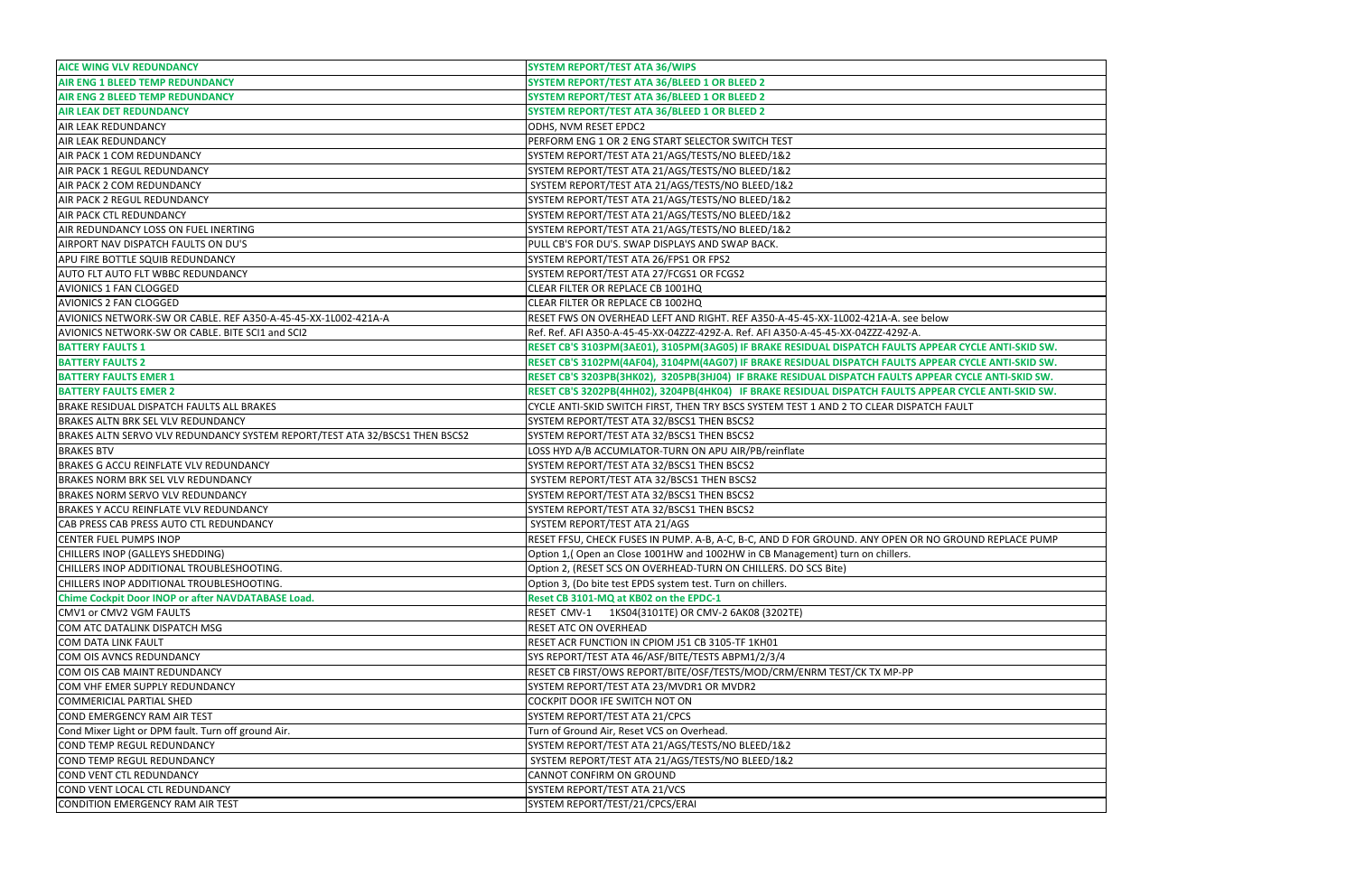| <b>AICE WING VLV REDUNDANCY</b>                                             | <b>SYSTEM REPORT/TEST ATA 36/WIPS</b>                                                                |
|-----------------------------------------------------------------------------|------------------------------------------------------------------------------------------------------|
| <b>AIR ENG 1 BLEED TEMP REDUNDANCY</b>                                      | SYSTEM REPORT/TEST ATA 36/BLEED 1 OR BLEED 2                                                         |
| <b>AIR ENG 2 BLEED TEMP REDUNDANCY</b>                                      | SYSTEM REPORT/TEST ATA 36/BLEED 1 OR BLEED 2                                                         |
| <b>AIR LEAK DET REDUNDANCY</b>                                              | SYSTEM REPORT/TEST ATA 36/BLEED 1 OR BLEED 2                                                         |
| <b>AIR LEAK REDUNDANCY</b>                                                  | ODHS, NVM RESET EPDC2                                                                                |
| <b>AIR LEAK REDUNDANCY</b>                                                  | PERFORM ENG 1 OR 2 ENG START SELECTOR SWITCH TEST                                                    |
| AIR PACK 1 COM REDUNDANCY                                                   | SYSTEM REPORT/TEST ATA 21/AGS/TESTS/NO BLEED/1&2                                                     |
|                                                                             |                                                                                                      |
| <b>AIR PACK 1 REGUL REDUNDANCY</b>                                          | SYSTEM REPORT/TEST ATA 21/AGS/TESTS/NO BLEED/1&2                                                     |
| AIR PACK 2 COM REDUNDANCY                                                   | SYSTEM REPORT/TEST ATA 21/AGS/TESTS/NO BLEED/1&2                                                     |
| <b>AIR PACK 2 REGUL REDUNDANCY</b>                                          | SYSTEM REPORT/TEST ATA 21/AGS/TESTS/NO BLEED/1&2                                                     |
| <b>AIR PACK CTL REDUNDANCY</b>                                              | SYSTEM REPORT/TEST ATA 21/AGS/TESTS/NO BLEED/1&2                                                     |
| AIR REDUNDANCY LOSS ON FUEL INERTING                                        | SYSTEM REPORT/TEST ATA 21/AGS/TESTS/NO BLEED/1&2                                                     |
| AIRPORT NAV DISPATCH FAULTS ON DU'S                                         | PULL CB'S FOR DU'S. SWAP DISPLAYS AND SWAP BACK.                                                     |
| APU FIRE BOTTLE SQUIB REDUNDANCY                                            | SYSTEM REPORT/TEST ATA 26/FPS1 OR FPS2                                                               |
| <b>AUTO FLT AUTO FLT WBBC REDUNDANCY</b>                                    | SYSTEM REPORT/TEST ATA 27/FCGS1 OR FCGS2                                                             |
| <b>AVIONICS 1 FAN CLOGGED</b>                                               | CLEAR FILTER OR REPLACE CB 1001HQ                                                                    |
| AVIONICS 2 FAN CLOGGED                                                      | CLEAR FILTER OR REPLACE CB 1002HQ                                                                    |
| AVIONICS NETWORK-SW OR CABLE. REF A350-A-45-45-XX-1L002-421A-A              | RESET FWS ON OVERHEAD LEFT AND RIGHT. REF A350-A-45-45-XX-1L002-421A-A. see below                    |
| AVIONICS NETWORK-SW OR CABLE. BITE SCI1 and SCI2                            | Ref. Ref. AFI A350-A-45-45-XX-04ZZZ-429Z-A. Ref. AFI A350-A-45-45-XX-04ZZZ-429Z-A.                   |
| <b>BATTERY FAULTS 1</b>                                                     | RESET CB'S 3103PM(3AE01), 3105PM(3AG05) IF BRAKE RESIDUAL DISPATCH FAULTS APPEAR CYCLE ANTI-SKID SW. |
| <b>BATTERY FAULTS 2</b>                                                     | RESET CB'S 3102PM(4AF04), 3104PM(4AG07) IF BRAKE RESIDUAL DISPATCH FAULTS APPEAR CYCLE ANTI-SKID SW. |
| <b>BATTERY FAULTS EMER 1</b>                                                | RESET CB'S 3203PB(3HK02), 3205PB(3HJ04) IF BRAKE RESIDUAL DISPATCH FAULTS APPEAR CYCLE ANTI-SKID SW. |
| <b>BATTERY FAULTS EMER 2</b>                                                | RESET CB'S 3202PB(4HH02), 3204PB(4HK04) IF BRAKE RESIDUAL DISPATCH FAULTS APPEAR CYCLE ANTI-SKID SW. |
| BRAKE RESIDUAL DISPATCH FAULTS ALL BRAKES                                   | CYCLE ANTI-SKID SWITCH FIRST, THEN TRY BSCS SYSTEM TEST 1 AND 2 TO CLEAR DISPATCH FAULT              |
| <b>BRAKES ALTN BRK SEL VLV REDUNDANCY</b>                                   | SYSTEM REPORT/TEST ATA 32/BSCS1 THEN BSCS2                                                           |
| BRAKES ALTN SERVO VLV REDUNDANCY SYSTEM REPORT/TEST ATA 32/BSCS1 THEN BSCS2 | SYSTEM REPORT/TEST ATA 32/BSCS1 THEN BSCS2                                                           |
| <b>BRAKES BTV</b>                                                           | LOSS HYD A/B ACCUMLATOR-TURN ON APU AIR/PB/reinflate                                                 |
| <b>BRAKES G ACCU REINFLATE VLV REDUNDANCY</b>                               | SYSTEM REPORT/TEST ATA 32/BSCS1 THEN BSCS2                                                           |
| <b>BRAKES NORM BRK SEL VLV REDUNDANCY</b>                                   | SYSTEM REPORT/TEST ATA 32/BSCS1 THEN BSCS2                                                           |
| <b>BRAKES NORM SERVO VLV REDUNDANCY</b>                                     | SYSTEM REPORT/TEST ATA 32/BSCS1 THEN BSCS2                                                           |
| <b>BRAKES Y ACCU REINFLATE VLV REDUNDANCY</b>                               | SYSTEM REPORT/TEST ATA 32/BSCS1 THEN BSCS2                                                           |
| CAB PRESS CAB PRESS AUTO CTL REDUNDANCY                                     | SYSTEM REPORT/TEST ATA 21/AGS                                                                        |
| <b>CENTER FUEL PUMPS INOP</b>                                               | RESET FFSU, CHECK FUSES IN PUMP. A-B, A-C, B-C, AND D FOR GROUND. ANY OPEN OR NO GROUND REPLACE PUMP |
| CHILLERS INOP (GALLEYS SHEDDING)                                            | Option 1,(Open an Close 1001HW and 1002HW in CB Management) turn on chillers.                        |
| CHILLERS INOP ADDITIONAL TROUBLESHOOTING.                                   | Option 2, (RESET SCS ON OVERHEAD-TURN ON CHILLERS. DO SCS Bite)                                      |
| CHILLERS INOP ADDITIONAL TROUBLESHOOTING.                                   | Option 3, (Do bite test EPDS system test. Turn on chillers.                                          |
| <b>Chime Cockpit Door INOP or after NAVDATABASE Load.</b>                   | Reset CB 3101-MQ at KB02 on the EPDC-1                                                               |
| CMV1 or CMV2 VGM FAULTS                                                     | RESET CMV-1 1KS04(3101TE) OR CMV-2 6AK08 (3202TE)                                                    |
| COM ATC DATALINK DISPATCH MSG                                               | <b>RESET ATC ON OVERHEAD</b>                                                                         |
|                                                                             |                                                                                                      |
| <b>COM DATA LINK FAULT</b>                                                  | RESET ACR FUNCTION IN CPIOM J51 CB 3105-TF 1KH01                                                     |
| COM OIS AVNCS REDUNDANCY                                                    | SYS REPORT/TEST ATA 46/ASF/BITE/TESTS ABPM1/2/3/4                                                    |
| COM OIS CAB MAINT REDUNDANCY                                                | RESET CB FIRST/OWS REPORT/BITE/OSF/TESTS/MOD/CRM/ENRM TEST/CK TX MP-PP                               |
| COM VHF EMER SUPPLY REDUNDANCY                                              | SYSTEM REPORT/TEST ATA 23/MVDR1 OR MVDR2                                                             |
| COMMERICIAL PARTIAL SHED                                                    | COCKPIT DOOR IFE SWITCH NOT ON                                                                       |
| COND EMERGENCY RAM AIR TEST                                                 | SYSTEM REPORT/TEST ATA 21/CPCS                                                                       |
| Cond Mixer Light or DPM fault. Turn off ground Air.                         | Turn of Ground Air, Reset VCS on Overhead.                                                           |
| COND TEMP REGUL REDUNDANCY                                                  | SYSTEM REPORT/TEST ATA 21/AGS/TESTS/NO BLEED/1&2                                                     |
| COND TEMP REGUL REDUNDANCY                                                  | SYSTEM REPORT/TEST ATA 21/AGS/TESTS/NO BLEED/1&2                                                     |
| COND VENT CTL REDUNDANCY                                                    | CANNOT CONFIRM ON GROUND                                                                             |
| COND VENT LOCAL CTL REDUNDANCY                                              | SYSTEM REPORT/TEST ATA 21/VCS                                                                        |
| CONDITION EMERGENCY RAM AIR TEST                                            | SYSTEM REPORT/TEST/21/CPCS/ERAI                                                                      |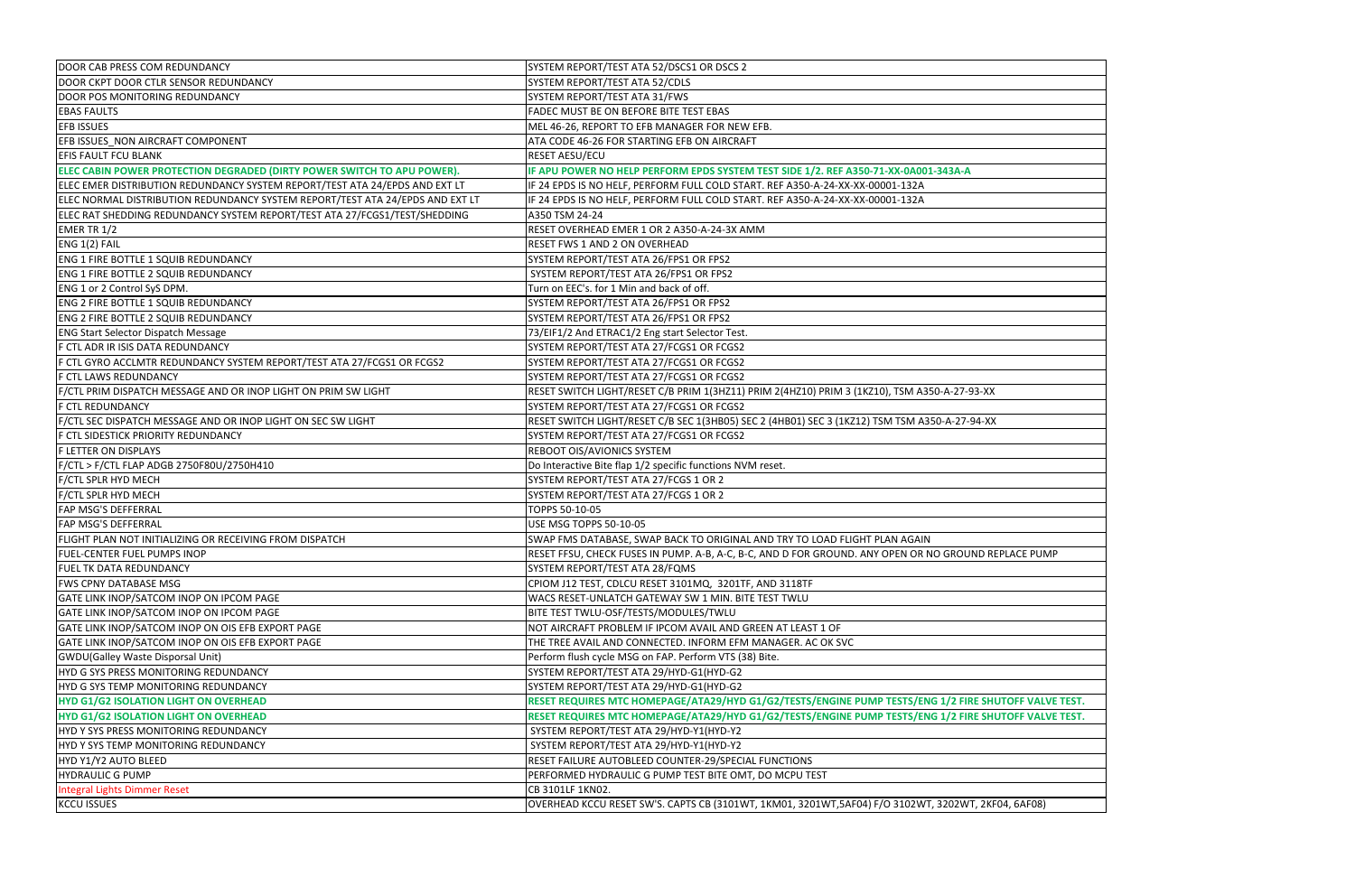| DOOR CAB PRESS COM REDUNDANCY                                                 | SYSTEM REPORT/TEST ATA 52/DSCS1 OR DSCS 2                                                            |
|-------------------------------------------------------------------------------|------------------------------------------------------------------------------------------------------|
| DOOR CKPT DOOR CTLR SENSOR REDUNDANCY                                         | SYSTEM REPORT/TEST ATA 52/CDLS                                                                       |
| DOOR POS MONITORING REDUNDANCY                                                | SYSTEM REPORT/TEST ATA 31/FWS                                                                        |
| <b>EBAS FAULTS</b>                                                            | FADEC MUST BE ON BEFORE BITE TEST EBAS                                                               |
| <b>EFB ISSUES</b>                                                             | MEL 46-26, REPORT TO EFB MANAGER FOR NEW EFB.                                                        |
| EFB ISSUES NON AIRCRAFT COMPONENT                                             | ATA CODE 46-26 FOR STARTING EFB ON AIRCRAFT                                                          |
| <b>EFIS FAULT FCU BLANK</b>                                                   | RESET AESU/ECU                                                                                       |
| ELEC CABIN POWER PROTECTION DEGRADED (DIRTY POWER SWITCH TO APU POWER).       | IF APU POWER NO HELP PERFORM EPDS SYSTEM TEST SIDE 1/2. REF A350-71-XX-0A001-343A-A                  |
| ELEC EMER DISTRIBUTION REDUNDANCY SYSTEM REPORT/TEST ATA 24/EPDS AND EXT LT   | IF 24 EPDS IS NO HELF, PERFORM FULL COLD START. REF A350-A-24-XX-XX-00001-132A                       |
| ELEC NORMAL DISTRIBUTION REDUNDANCY SYSTEM REPORT/TEST ATA 24/EPDS AND EXT LT | IF 24 EPDS IS NO HELF, PERFORM FULL COLD START. REF A350-A-24-XX-XX-00001-132A                       |
| ELEC RAT SHEDDING REDUNDANCY SYSTEM REPORT/TEST ATA 27/FCGS1/TEST/SHEDDING    | A350 TSM 24-24                                                                                       |
| EMER TR 1/2                                                                   | RESET OVERHEAD EMER 1 OR 2 A350-A-24-3X AMM                                                          |
| ENG 1(2) FAIL                                                                 | RESET FWS 1 AND 2 ON OVERHEAD                                                                        |
| <b>ENG 1 FIRE BOTTLE 1 SQUIB REDUNDANCY</b>                                   | SYSTEM REPORT/TEST ATA 26/FPS1 OR FPS2                                                               |
| <b>ENG 1 FIRE BOTTLE 2 SQUIB REDUNDANCY</b>                                   | SYSTEM REPORT/TEST ATA 26/FPS1 OR FPS2                                                               |
| ENG 1 or 2 Control SyS DPM.                                                   | Turn on EEC's. for 1 Min and back of off.                                                            |
| <b>ENG 2 FIRE BOTTLE 1 SQUIB REDUNDANCY</b>                                   | SYSTEM REPORT/TEST ATA 26/FPS1 OR FPS2                                                               |
| <b>ENG 2 FIRE BOTTLE 2 SQUIB REDUNDANCY</b>                                   | SYSTEM REPORT/TEST ATA 26/FPS1 OR FPS2                                                               |
| <b>ENG Start Selector Dispatch Message</b>                                    | 73/EIF1/2 And ETRAC1/2 Eng start Selector Test.                                                      |
| F CTL ADR IR ISIS DATA REDUNDANCY                                             | SYSTEM REPORT/TEST ATA 27/FCGS1 OR FCGS2                                                             |
| F CTL GYRO ACCLMTR REDUNDANCY SYSTEM REPORT/TEST ATA 27/FCGS1 OR FCGS2        | SYSTEM REPORT/TEST ATA 27/FCGS1 OR FCGS2                                                             |
| <b>F CTL LAWS REDUNDANCY</b>                                                  | SYSTEM REPORT/TEST ATA 27/FCGS1 OR FCGS2                                                             |
| F/CTL PRIM DISPATCH MESSAGE AND OR INOP LIGHT ON PRIM SW LIGHT                | RESET SWITCH LIGHT/RESET C/B PRIM 1(3HZ11) PRIM 2(4HZ10) PRIM 3 (1KZ10), TSM A350-A-27-93-XX         |
| <b>F CTL REDUNDANCY</b>                                                       | SYSTEM REPORT/TEST ATA 27/FCGS1 OR FCGS2                                                             |
| F/CTL SEC DISPATCH MESSAGE AND OR INOP LIGHT ON SEC SW LIGHT                  | RESET SWITCH LIGHT/RESET C/B SEC 1(3HB05) SEC 2 (4HB01) SEC 3 (1KZ12) TSM TSM A350-A-27-94-XX        |
| F CTL SIDESTICK PRIORITY REDUNDANCY                                           | SYSTEM REPORT/TEST ATA 27/FCGS1 OR FCGS2                                                             |
| F LETTER ON DISPLAYS                                                          | REBOOT OIS/AVIONICS SYSTEM                                                                           |
| F/CTL > F/CTL FLAP ADGB 2750F80U/2750H410                                     | Do Interactive Bite flap 1/2 specific functions NVM reset.                                           |
| F/CTL SPLR HYD MECH                                                           | SYSTEM REPORT/TEST ATA 27/FCGS 1 OR 2                                                                |
| F/CTL SPLR HYD MECH                                                           | SYSTEM REPORT/TEST ATA 27/FCGS 1 OR 2                                                                |
| FAP MSG'S DEFFERRAL                                                           | TOPPS 50-10-05                                                                                       |
| <b>FAP MSG'S DEFFERRAL</b>                                                    | USE MSG TOPPS 50-10-05                                                                               |
| FLIGHT PLAN NOT INITIALIZING OR RECEIVING FROM DISPATCH                       | SWAP FMS DATABASE, SWAP BACK TO ORIGINAL AND TRY TO LOAD FLIGHT PLAN AGAIN                           |
| <b>FUEL-CENTER FUEL PUMPS INOP</b>                                            | RESET FFSU, CHECK FUSES IN PUMP. A-B, A-C, B-C, AND D FOR GROUND. ANY OPEN OR NO GROUND REPLACE PUMP |
| <b>FUEL TK DATA REDUNDANCY</b>                                                | SYSTEM REPORT/TEST ATA 28/FQMS                                                                       |
| <b>FWS CPNY DATABASE MSG</b>                                                  | CPIOM J12 TEST, CDLCU RESET 3101MQ, 3201TF, AND 3118TF                                               |
| GATE LINK INOP/SATCOM INOP ON IPCOM PAGE                                      | WACS RESET-UNLATCH GATEWAY SW 1 MIN. BITE TEST TWLU                                                  |
| GATE LINK INOP/SATCOM INOP ON IPCOM PAGE                                      | BITE TEST TWLU-OSF/TESTS/MODULES/TWLU                                                                |
| GATE LINK INOP/SATCOM INOP ON OIS EFB EXPORT PAGE                             | NOT AIRCRAFT PROBLEM IF IPCOM AVAIL AND GREEN AT LEAST 1 OF                                          |
| GATE LINK INOP/SATCOM INOP ON OIS EFB EXPORT PAGE                             | THE TREE AVAIL AND CONNECTED. INFORM EFM MANAGER. AC OK SVC                                          |
| <b>GWDU</b> (Galley Waste Disporsal Unit)                                     | Perform flush cycle MSG on FAP. Perform VTS (38) Bite.                                               |
| HYD G SYS PRESS MONITORING REDUNDANCY                                         | SYSTEM REPORT/TEST ATA 29/HYD-G1(HYD-G2                                                              |
| HYD G SYS TEMP MONITORING REDUNDANCY                                          | SYSTEM REPORT/TEST ATA 29/HYD-G1(HYD-G2                                                              |
| <b>HYD G1/G2 ISOLATION LIGHT ON OVERHEAD</b>                                  | RESET REQUIRES MTC HOMEPAGE/ATA29/HYD G1/G2/TESTS/ENGINE PUMP TESTS/ENG 1/2 FIRE SHUTOFF VALVE TEST. |
| <b>HYD G1/G2 ISOLATION LIGHT ON OVERHEAD</b>                                  | RESET REQUIRES MTC HOMEPAGE/ATA29/HYD G1/G2/TESTS/ENGINE PUMP TESTS/ENG 1/2 FIRE SHUTOFF VALVE TEST. |
| HYD Y SYS PRESS MONITORING REDUNDANCY                                         | SYSTEM REPORT/TEST ATA 29/HYD-Y1(HYD-Y2                                                              |
| HYD Y SYS TEMP MONITORING REDUNDANCY                                          | SYSTEM REPORT/TEST ATA 29/HYD-Y1(HYD-Y2                                                              |
| HYD Y1/Y2 AUTO BLEED                                                          | RESET FAILURE AUTOBLEED COUNTER-29/SPECIAL FUNCTIONS                                                 |
| <b>HYDRAULIC G PUMP</b>                                                       | PERFORMED HYDRAULIC G PUMP TEST BITE OMT, DO MCPU TEST                                               |
| <b>Integral Lights Dimmer Reset</b>                                           | CB 3101LF 1KN02.                                                                                     |
| <b>KCCU ISSUES</b>                                                            | OVERHEAD KCCU RESET SW'S. CAPTS CB (3101WT, 1KM01, 3201WT, 5AF04) F/O 3102WT, 3202WT, 2KF04, 6AF08)  |
|                                                                               |                                                                                                      |